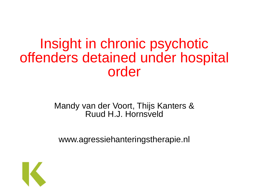#### Insight in chronic psychotic offenders detained under hospital order

#### Mandy van der Voort, Thijs Kanters & Ruud H.J. Hornsveld

www.agressiehanteringstherapie.nl

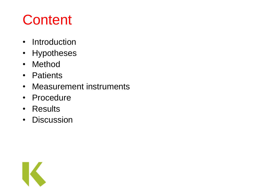# **Content**

- Introduction
- Hypotheses
- Method
- Patients
- Measurement instruments
- Procedure
- Results
- Discussion

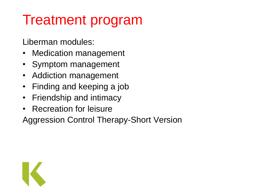# Treatment program

Liberman modules:

- Medication management
- Symptom management
- Addiction management
- Finding and keeping a job
- Friendship and intimacy
- Recreation for leisure

Aggression Control Therapy-Short Version

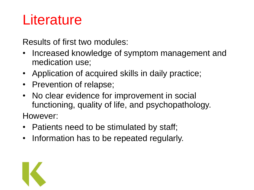# **Literature**

Results of first two modules:

- Increased knowledge of symptom management and medication use;
- Application of acquired skills in daily practice;
- Prevention of relapse;
- No clear evidence for improvement in social functioning, quality of life, and psychopathology.

However:

- Patients need to be stimulated by staff;
- Information has to be repeated regularly.

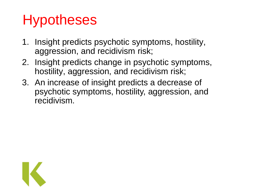# Hypotheses

- 1. Insight predicts psychotic symptoms, hostility, aggression, and recidivism risk;
- 2. Insight predicts change in psychotic symptoms, hostility, aggression, and recidivism risk;
- 3. An increase of insight predicts a decrease of psychotic symptoms, hostility, aggression, and recidivism.

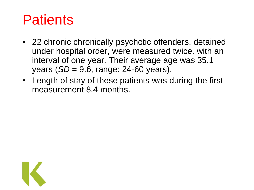# **Patients**

- 22 chronic chronically psychotic offenders, detained under hospital order, were measured twice. with an interval of one year. Their average age was 35.1 years (*SD* = 9.6, range: 24-60 years).
- Length of stay of these patients was during the first measurement 8.4 months.

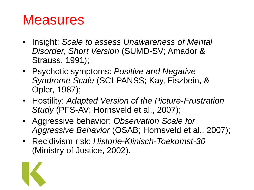- Insight: *Scale to assess Unawareness of Mental Disorder, Short Version* (SUMD-SV; Amador & Strauss, 1991);
- Psychotic symptoms: *Positive and Negative Syndrome Scale* (SCI-PANSS; Kay, Fiszbein, & Opler, 1987);
- Hostility: *Adapted Version of the Picture-Frustration Study* (PFS-AV; Hornsveld et al., 2007);
- Aggressive behavior: *Observation Scale for Aggressive Behavior* (OSAB; Hornsveld et al., 2007);
- Recidivism risk: *Historie-Klinisch-Toekomst-30*  (Ministry of Justice, 2002).

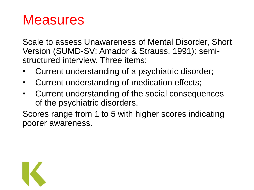Scale to assess Unawareness of Mental Disorder, Short Version (SUMD-SV; Amador & Strauss, 1991): semistructured interview. Three items:

- Current understanding of a psychiatric disorder;
- Current understanding of medication effects;
- Current understanding of the social consequences of the psychiatric disorders.

Scores range from 1 to 5 with higher scores indicating poorer awareness.

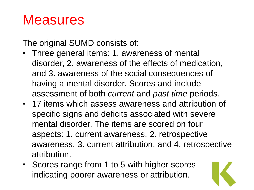The original SUMD consists of:

- Three general items: 1. awareness of mental disorder, 2. awareness of the effects of medication, and 3. awareness of the social consequences of having a mental disorder. Scores and include assessment of both *current* and *past time* periods.
- 17 items which assess awareness and attribution of specific signs and deficits associated with severe mental disorder. The items are scored on four aspects: 1. current awareness, 2. retrospective awareness, 3. current attribution, and 4. retrospective attribution.
- Scores range from 1 to 5 with higher scores indicating poorer awareness or attribution.

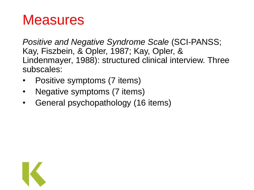*Positive and Negative Syndrome Scale* (SCI-PANSS; Kay, Fiszbein, & Opler, 1987; Kay, Opler, & Lindenmayer, 1988): structured clinical interview. Three subscales:

- Positive symptoms (7 items)
- Negative symptoms (7 items)
- General psychopathology (16 items)

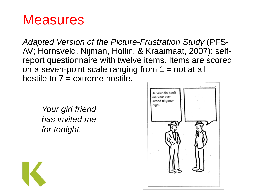*Adapted Version of the Picture-Frustration Study* (PFS-AV; Hornsveld, Nijman, Hollin, & Kraaimaat, 2007): selfreport questionnaire with twelve items. Items are scored on a seven-point scale ranging from  $1 = not$  at all hostile to  $7 =$  extreme hostile.

*Your girl friend has invited me for tonight.*



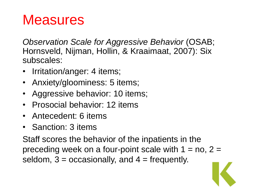*Observation Scale for Aggressive Behavior* (OSAB; Hornsveld, Nijman, Hollin, & Kraaimaat, 2007): Six subscales:

- Irritation/anger: 4 items;
- Anxiety/gloominess: 5 items;
- Aggressive behavior: 10 items;
- Prosocial behavior: 12 items
- Antecedent: 6 items
- Sanction: 3 items

Staff scores the behavior of the inpatients in the preceding week on a four-point scale with  $1 = no$ ,  $2 =$ seldom,  $3 =$  occasionally, and  $4 =$  frequently.

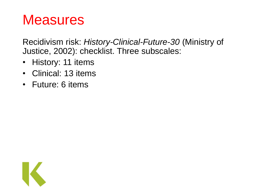Recidivism risk: *History-Clinical-Future-30* (Ministry of Justice, 2002): checklist. Three subscales:

- History: 11 items
- Clinical: 13 items
- Future: 6 items

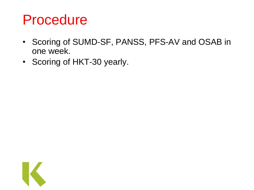#### Procedure

- Scoring of SUMD-SF, PANSS, PFS-AV and OSAB in one week.
- Scoring of HKT-30 yearly.

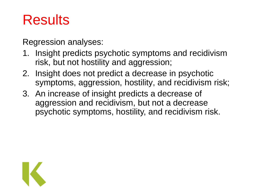# **Results**

Regression analyses:

- 1. Insight predicts psychotic symptoms and recidivism risk, but not hostility and aggression;
- 2. Insight does not predict a decrease in psychotic symptoms, aggression, hostility, and recidivism risk;
- 3. An increase of insight predicts a decrease of aggression and recidivism, but not a decrease psychotic symptoms, hostility, and recidivism risk.